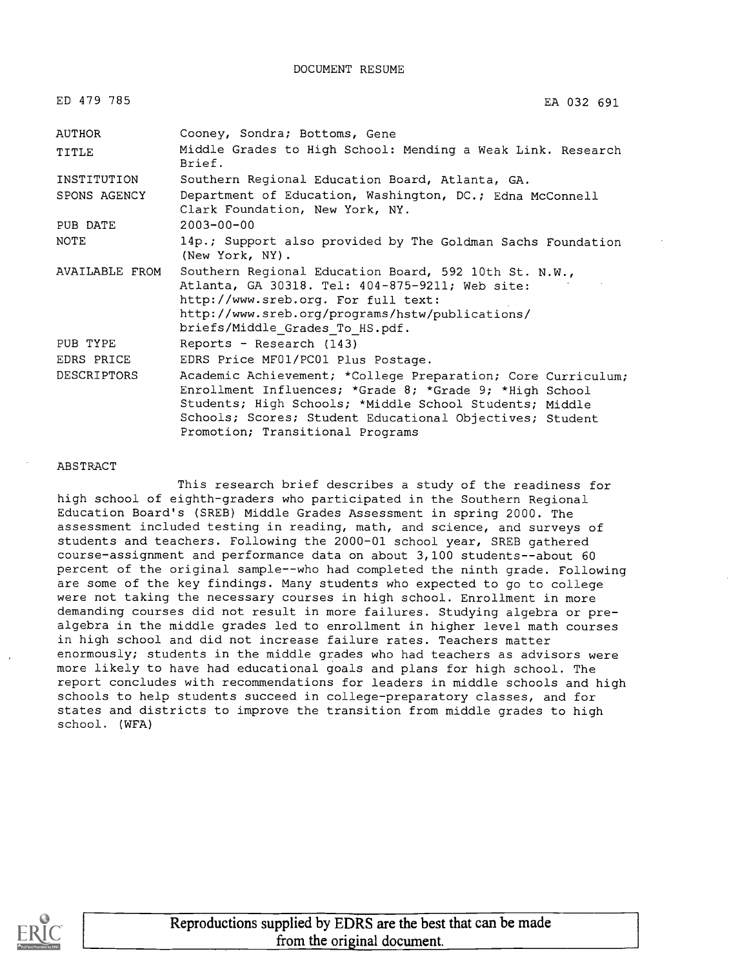DOCUMENT RESUME

| ED 479 785         | EA 032 691                                                                                                                                                                                                                                                                         |
|--------------------|------------------------------------------------------------------------------------------------------------------------------------------------------------------------------------------------------------------------------------------------------------------------------------|
| AUTHOR             | Cooney, Sondra; Bottoms, Gene                                                                                                                                                                                                                                                      |
| TITLE              | Middle Grades to High School: Mending a Weak Link. Research<br>Brief.                                                                                                                                                                                                              |
| INSTITUTION        | Southern Regional Education Board, Atlanta, GA.                                                                                                                                                                                                                                    |
| SPONS AGENCY       | Department of Education, Washington, DC.; Edna McConnell<br>Clark Foundation, New York, NY.                                                                                                                                                                                        |
| PUB DATE           | $2003 - 00 - 00$                                                                                                                                                                                                                                                                   |
| <b>NOTE</b>        | 14p.; Support also provided by The Goldman Sachs Foundation<br>(New York, NY).                                                                                                                                                                                                     |
| AVAILABLE FROM     | Southern Regional Education Board, 592 10th St. N.W.,<br>Atlanta, GA 30318. Tel: 404-875-9211; Web site:<br>http://www.sreb.org. For full text:<br>http://www.sreb.org/programs/hstw/publications/<br>briefs/Middle Grades To HS.pdf.                                              |
| PUB TYPE           | Reports - Research (143)                                                                                                                                                                                                                                                           |
| EDRS PRICE         | EDRS Price MF01/PC01 Plus Postage.                                                                                                                                                                                                                                                 |
| <b>DESCRIPTORS</b> | Academic Achievement; *College Preparation; Core Curriculum;<br>Enrollment Influences; *Grade 8; *Grade 9; *High School<br>Students; High Schools; *Middle School Students; Middle<br>Schools; Scores; Student Educational Objectives; Student<br>Promotion; Transitional Programs |

ABSTRACT

This research brief describes a study of the readiness for high school of eighth-graders who participated in the Southern Regional Education Board's (SREB) Middle Grades Assessment in spring 2000. The assessment included testing in reading, math, and science, and surveys of students and teachers. Following the 2000-01 school year, SREB gathered course-assignment and performance data on about 3,100 students--about 60 percent of the original sample--who had completed the ninth grade. Following are some of the key findings. Many students who expected to go to college were not taking the necessary courses in high school. Enrollment in more demanding courses did not result in more failures. Studying algebra or prealgebra in the middle grades led to enrollment in higher level math courses in high school and did not increase failure rates. Teachers matter enormously; students in the middle grades who had teachers as advisors were more likely to have had educational goals and plans for high school. The report concludes with recommendations for leaders in middle schools and high schools to help students succeed in college-preparatory classes, and for states and districts to improve the transition from middle grades to high school. (WFA)

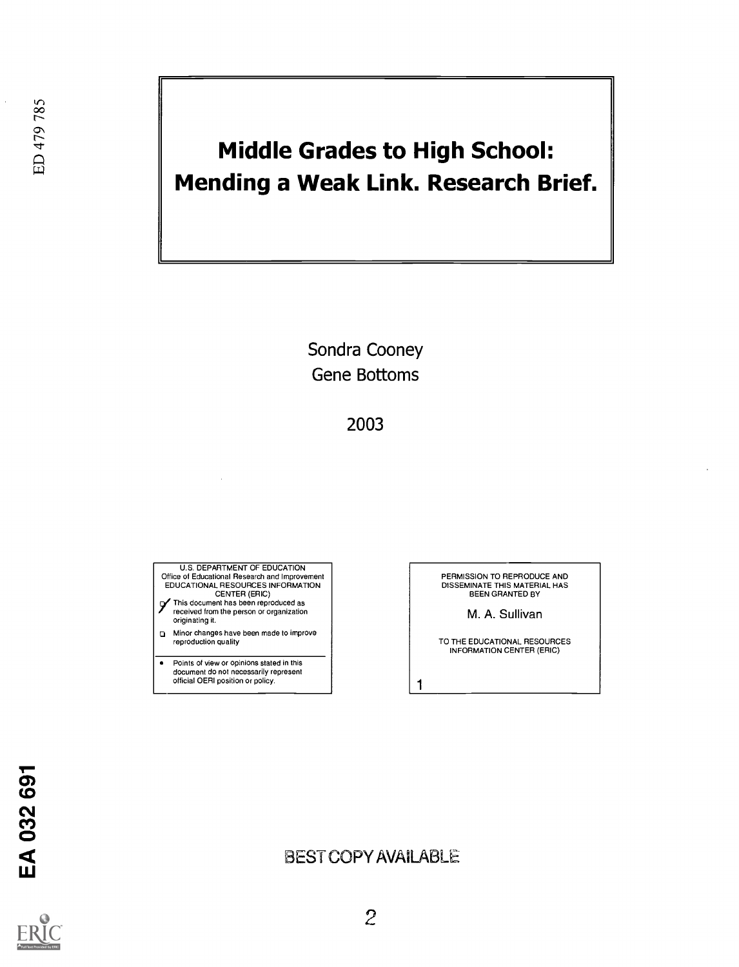# Middle Grades to High School: Mending a Weak Link. Research Brief.

Sondra Cooney Gene Bottoms

2003

U.S. DEPARTMENT OF EDUCATION Office ot Educational Research and Improvement EDUCATIONAL RESOURCES INFORMATION CENTER (ERIC)

- This document has been reproduced as received from the person or organization originating it.
- pi Minor changes have been made to improve reproduction quality
- $\bullet$ Points of view or opinions stated in this document do not necessarily represent official OERI position or policy.

PERMISSION TO REPRODUCE AND DISSEMINATE THIS MATERIAL HAS BEEN GRANTED BY

M. A. Sullivan

TO THE EDUCATIONAL RESOURCES INFORMATION CENTER (ERIC)

EA 032 691

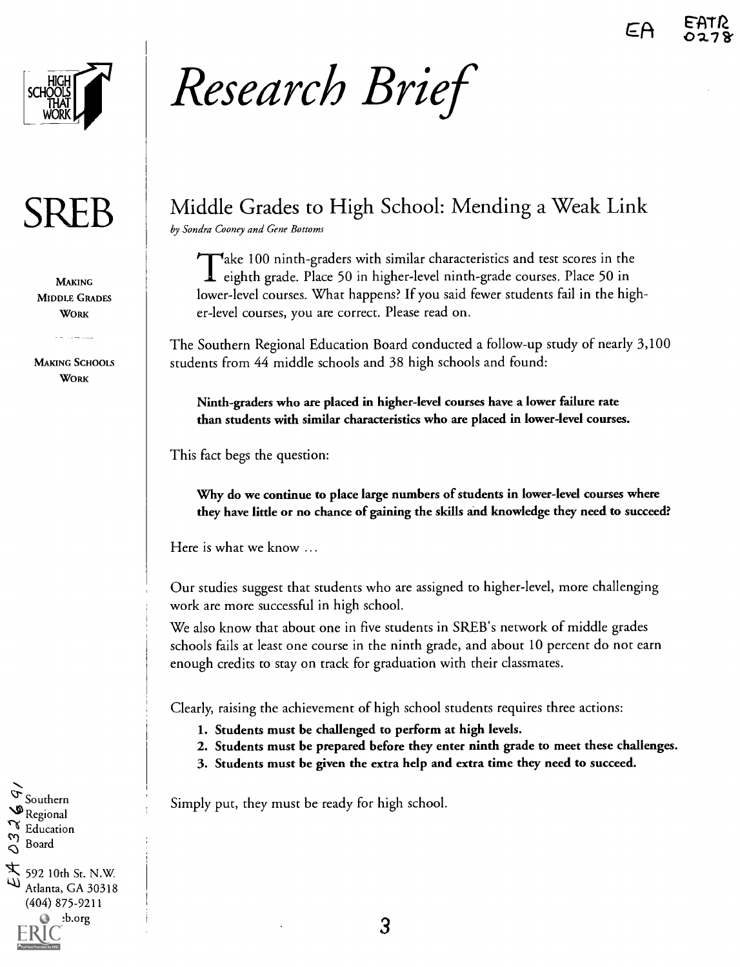

MAKING MIDDLE GRADES **WORK** 

MAKING SCHOOIS **WORK** 

# Research Brief

# $\text{SREB}$   $\parallel$  Middle Grades to High School: Mending a Weak Link

by Sondra Cooney and Gene Bottoms

Take 100 ninth-graders with similar characteristics and test scores in the eighth grade. Place 50 in higher-level ninth-grade courses. Place 50 in lower-level courses. What happens? If you said fewer students fail in the higher-level courses, you are correct. Please read on.

The Southern Regional Education Board conducted a follow-up study of nearly 3,100 students from 44 middle schools and 38 high schools and found:

Ninth-graders who are placed in higher-level courses have a lower failure rate than students with similar characteristics who are placed in lower-level courses.

This fact begs the question:

Why do we continue to place large numbers of students in lower-level courses where they have little or no chance of gaining the skills and knowledge they need to succeed?

Here is what we know ...

Our studies suggest that students who are assigned to higher-level, more challenging work are more successful in high school.

We also know that about one in five students in SREB's network of middle grades schools fails at least one course in the ninth grade, and about 10 percent do not earn enough credits to stay on track for graduation with their classmates.

Clearly, raising the achievement of high school students requires three actions:

- 1. Students must be challenged to perform at high levels.
- 2. Students must be prepared before they enter ninth grade to meet these challenges.
- 3. Students must be given the extra help and extra time they need to succeed.

Simply put, they must be ready for high school.

 $\sigma_{\text{Southern}}$  $\mathcal{P}_{\text{Regional}}$  $\begin{array}{c}\n\bigcirc \\
\bigcirc \\
\bigcirc\n\end{array}$  Board Board  $\overline{X}$  592 10th St. N.W. Atlanta, GA 30318 (404) 875-9211 b.org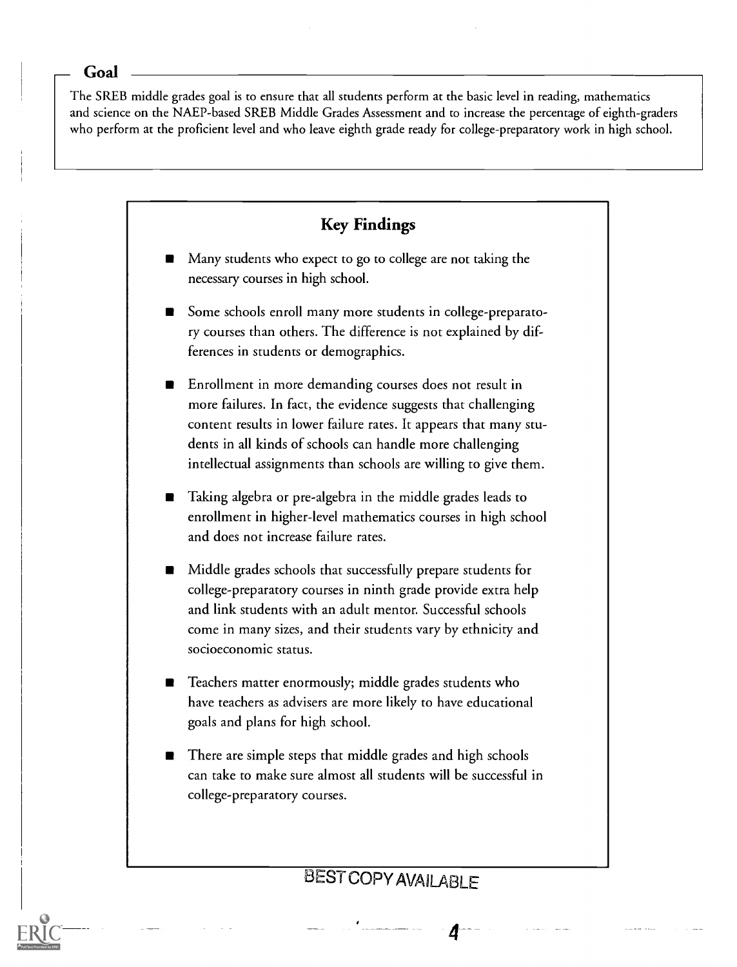#### Goal

The SREB middle grades goal is to ensure that all students perform at the basic level in reading, mathematics and science on the NAEP-based SREB Middle Grades Assessment and to increase the percentage of eighth-graders who perform at the proficient level and who leave eighth grade ready for college-preparatory work in high school.



<sup>2</sup> 4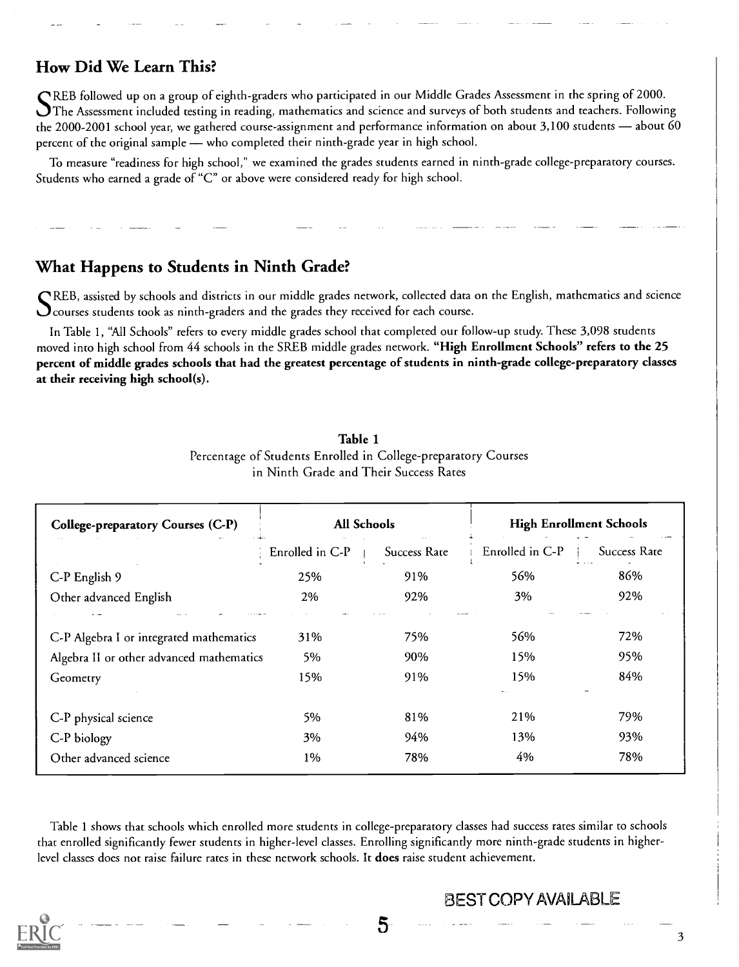## How Did We Learn This?

SREB followed up on a group of eighth-graders who participated in our Middle Grades Assessment in the spring of 2000. The Assessment included testing in reading, mathematics and science and surveys of both students and teachers. Following the 2000-2001 school year, we gathered course-assignment and performance information on about  $3,100$  students  $-$  about 60 percent of the original sample — who completed their ninth-grade year in high school.

To measure "readiness for high school," we examined the grades students earned in ninth-grade college-preparatory courses. Students who earned a grade of "C" or above were considered ready for high school.

### What Happens to Students in Ninth Grade?

SREB, assisted by schools and districts in our middle grades network, collected data on the English, mathematics and science  $\mathbf C$  courses students took as ninth-graders and the grades they received for each course.

In Table 1, "All Schools" refers to every middle grades school that completed our follow-up study. These 3,098 students moved into high school from 44 schools in the SREB middle grades network. "High Enrollment Schools" refers to the 25 percent of middle grades schools that had the greatest percentage of students in ninth-grade college-preparatory classes at their receiving high school(s).

| College-preparatory Courses (C-P)        | All Schools     |              | <b>High Enrollment Schools</b> |              |
|------------------------------------------|-----------------|--------------|--------------------------------|--------------|
|                                          | Enrolled in C-P | Success Rate | Enrolled in C-P                | Success Rate |
| C-P English 9                            | 25%             | 91%          | 56%                            | 86%          |
| Other advanced English                   | 2%              | 92%          | 3%                             | 92%          |
| C-P Algebra I or integrated mathematics  | 31%             | 75%          | 56%                            | 72%          |
| Algebra II or other advanced mathematics | 5%              | 90%          | 15%                            | 95%          |
| Geometry                                 | 15%             | 91%          | 15%                            | 84%          |
| C-P physical science                     | 5%              | 81%          | 21%                            | 79%          |
| C-P biology                              | 3%              | 94%          | 13%                            | 93%          |
| Other advanced science                   | 1%              | 78%          | 4%                             | 78%          |

Table 1 Percentage of Students Enrolled in College-preparatory Courses in Ninth Grade and Their Success Rates

Table 1 shows that schools which enrolled more students in college-preparatory classes had success rates similar to schools that enrolled significantly fewer students in higher-level classes. Enrolling significantly more ninth-grade students in higherlevel classes does not raise failure rates in these network schools. It does raise student achievement.

5

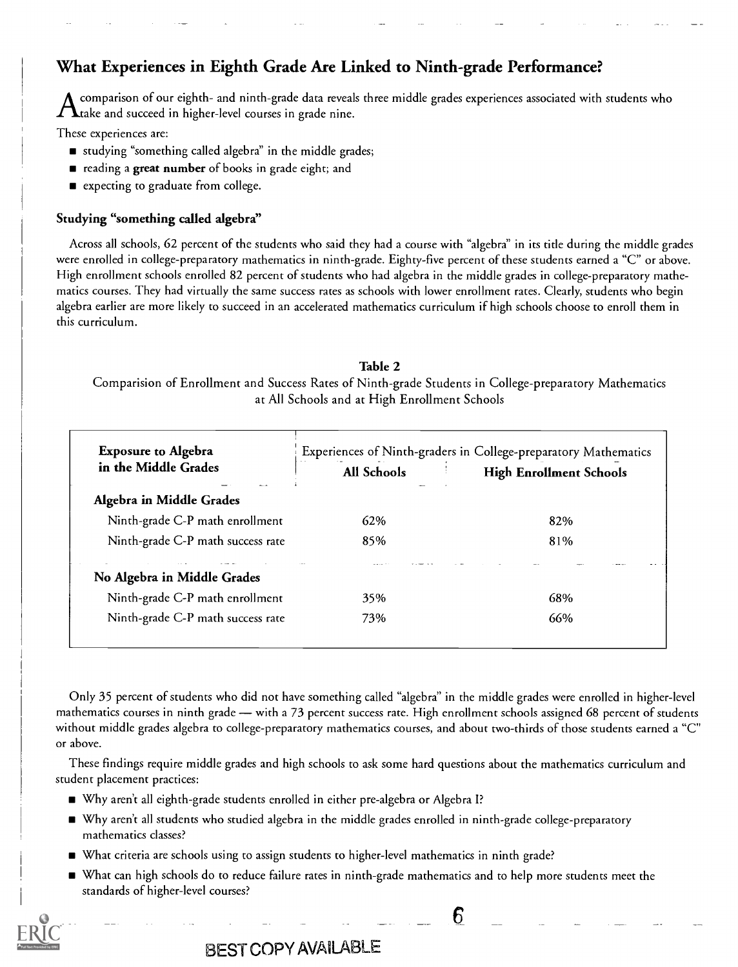# What Experiences in Eighth Grade Are Linked to Ninth-grade Performance?

comparison of our eighth- and ninth-grade data reveals three middle grades experiences associated with students who  $\boldsymbol{\varLambda}$ take and succeed in higher-level courses in grade nine.

These experiences are:

- studying "something called algebra" in the middle grades;
- reading a great number of books in grade eight; and
- **E** expecting to graduate from college.

#### Studying "something called algebra"

Across all schools, 62 percent of the students who said they had a course with "algebra" in its title during the middle grades were enrolled in college-preparatory mathematics in ninth-grade. Eighty-five percent of these students earned a "C" or above. High enrollment schools enrolled 82 percent of students who had algebra in the middle grades in college-preparatory mathematics courses. They had virtually the same success rates as schools with lower enrollment rates. Clearly, students who begin algebra earlier are more likely to succeed in an accelerated mathematics curriculum if high schools choose to enroll them in this curriculum.

#### Table 2

Comparision of Enrollment and Success Rates of Ninth-grade Students in College-preparatory Mathematics at All Schools and at High Enrollment Schools

| <b>Exposure to Algebra</b>        | Experiences of Ninth-graders in College-preparatory Mathematics |                                |  |  |
|-----------------------------------|-----------------------------------------------------------------|--------------------------------|--|--|
| in the Middle Grades              | All Schools                                                     | <b>High Enrollment Schools</b> |  |  |
| Algebra in Middle Grades          |                                                                 |                                |  |  |
| Ninth-grade C-P math enrollment   | 62%                                                             | 82%                            |  |  |
| Ninth-grade C-P math success rate | 85%                                                             | 81%                            |  |  |
| No Algebra in Middle Grades       |                                                                 |                                |  |  |
| Ninth-grade C-P math enrollment   | 35%                                                             | 68%                            |  |  |
| Ninth-grade C-P math success rate | 73%                                                             | 66%                            |  |  |

Only 35 percent of students who did not have something called "algebra" in the middle grades were enrolled in higher-level mathematics courses in ninth grade — with a 73 percent success rate. High enrollment schools assigned 68 percent of students without middle grades algebra to college-preparatory mathematics courses, and about two-thirds of those students earned a "C" or above.

These findings require middle grades and high schools to ask some hard questions about the mathematics curriculum and student placement practices:

- Why aren't all eighth-grade students enrolled in either pre-algebra or Algebra I?
- Why aren't all students who studied algebra in the middle grades enrolled in ninth-grade college-preparatory mathematics classes?
- What criteria are schools using to assign students to higher-level mathematics in ninth grade?
- What can high schools do to reduce failure rates in ninth-grade mathematics and to help more students meet the standards of higher-level courses?

6

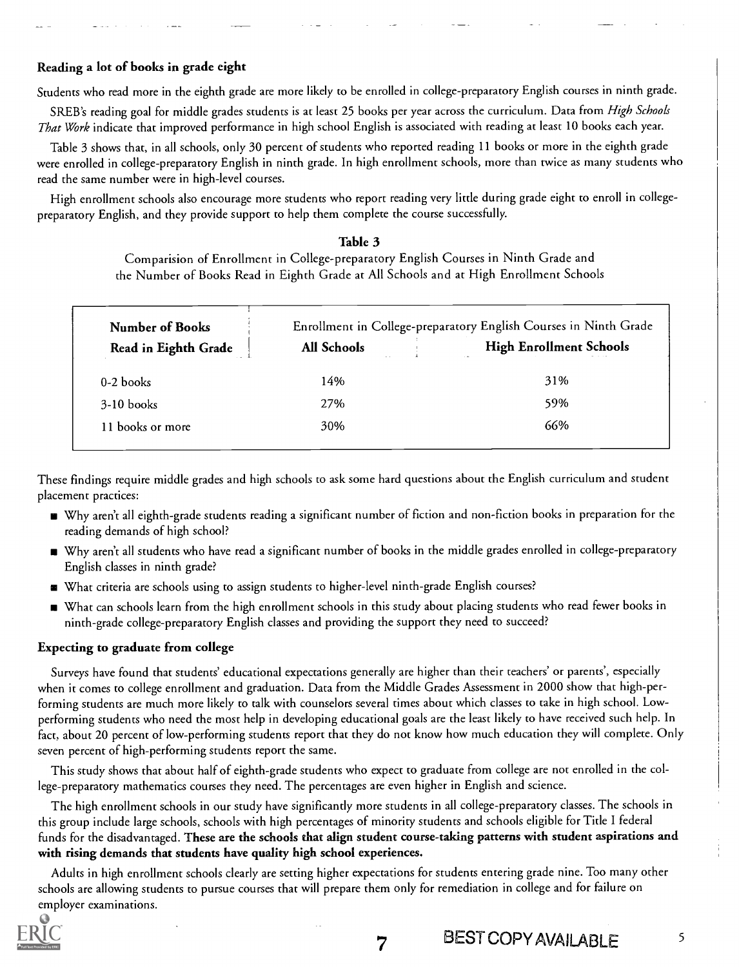#### Reading a lot of books in grade eight

Students who read more in the eighth grade are more likely to be enrolled in college-preparatory English courses in ninth grade.

SREB's reading goal for middle grades students is at least 25 books per year across the curriculum. Data from High Schools That Work indicate that improved performance in high school English is associated with reading at least 10 books each year.

Table 3 shows that, in all schools, only 30 percent of students who reported reading 11 books or more in the eighth grade were enrolled in college-preparatory English in ninth grade. In high enrollment schools, more than twice as many students who read the same number were in high-level courses.

High enrollment schools also encourage more students who report reading very little during grade eight to enroll in collegepreparatory English, and they provide support to help them complete the course successfully.

#### Table 3

Comparision of Enrollment in College-preparatory English Courses in Ninth Grade and the Number of Books Read in Eighth Grade at All Schools and at High Enrollment Schools

| <b>Number of Books</b> | Enrollment in College-preparatory English Courses in Ninth Grade |                                |  |
|------------------------|------------------------------------------------------------------|--------------------------------|--|
| Read in Eighth Grade   | All Schools                                                      | <b>High Enrollment Schools</b> |  |
| $0-2$ books            | 14%                                                              | 31%                            |  |
| $3-10$ books           | 27%                                                              | 59%                            |  |
| 11 books or more       | 30%                                                              | 66%                            |  |

These findings require middle grades and high schools to ask some hard questions about the English curriculum and student placement practices:

- Why aren't all eighth-grade students reading a significant number of fiction and non-fiction books in preparation for the reading demands of high school?
- Why aren't all students who have read a significant number of books in the middle grades enrolled in college-preparatory English classes in ninth grade?
- What criteria are schools using to assign students to higher-level ninth-grade English courses?
- What can schools learn from the high enrollment schools in this study about placing students who read fewer books in ninth-grade college-preparatory English classes and providing the support they need to succeed?

#### Expecting to graduate from college

Surveys have found that students' educational expectations generally are higher than their teachers' or parents', especially when it comes to college enrollment and graduation. Data from the Middle Grades Assessment in 2000 show that high-performing students are much more likely to talk with counselors several times about which classes to take in high school. Lowperforming students who need the most help in developing educational goals are the least likely to have received such help. In fact, about 20 percent of low-performing students report that they do not know how much education they will complete. Only seven percent of high-performing students report the same.

This study shows that about half of eighth-grade students who expect to graduate from college are not enrolled in the college-preparatory mathematics courses they need. The percentages are even higher in English and science.

The high enrollment schools in our study have significantly more students in all college-preparatory classes. The schools in this group include large schools, schools with high percentages of minority students and schools eligible for Title I federal funds for the disadvantaged. These are the schools that align student course-taking patterns with student aspirations and with rising demands that students have quality high school experiences.

Adults in high enrollment schools clearly are setting higher expectations for students entering grade nine. Too many other schools are allowing students to pursue courses that will prepare them only for remediation in college and for failure on employer examinations.

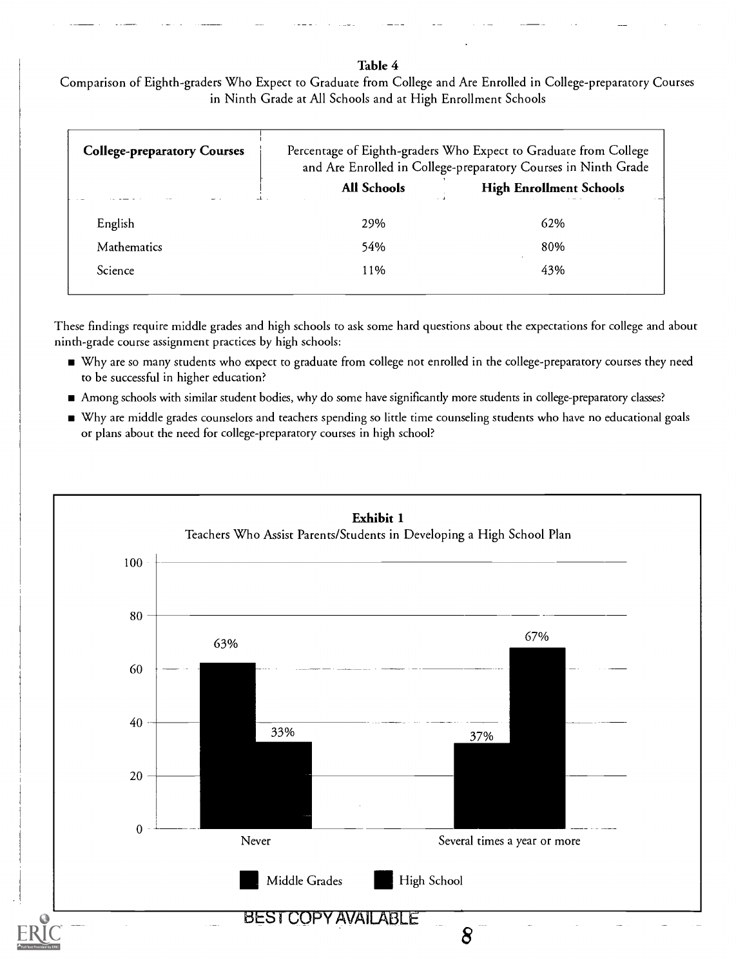#### Table 4

Comparison of Eighth-graders Who Expect to Graduate from College and Are Enrolled in College-preparatory Courses in Ninth Grade at All Schools and at High Enrollment Schools

| <b>College-preparatory Courses</b> |             | Percentage of Eighth-graders Who Expect to Graduate from College<br>and Are Enrolled in College-preparatory Courses in Ninth Grade |
|------------------------------------|-------------|------------------------------------------------------------------------------------------------------------------------------------|
|                                    | All Schools | <b>High Enrollment Schools</b>                                                                                                     |
| English                            | 29%         | 62%                                                                                                                                |
| <b>Mathematics</b>                 | 54%         | 80%                                                                                                                                |
| Science                            | 11%         | 43%                                                                                                                                |

These findings require middle grades and high schools to ask some hard questions about the expectations for college and about ninth-grade course assignment practices by high schools:

- Why are so many students who expect to graduate from college not enrolled in the college-preparatory courses they need to be successful in higher education?
- Among schools with similar student bodies, why do some have significantly more students in college-preparatory classes?
- Why are middle grades counselors and teachers spending so little time counseling students who have no educational goals or plans about the need for college-preparatory courses in high school?

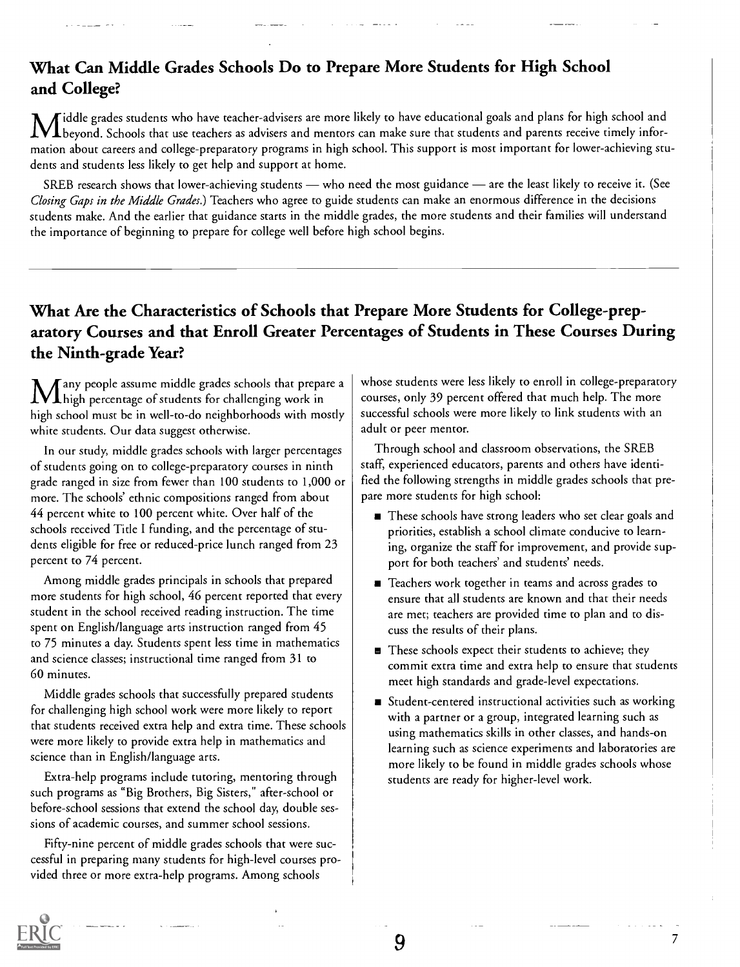# What Can Middle Grades Schools Do to Prepare More Students for High School and College?

iddle grades students who have teacher-advisers are more likely to have educational goals and plans for high school and M iddle grades students who have teachers as advisers are more meals to that students and parents receive timely infor-<br>The beyond. Schools that use teachers as advisers and mentors can make sure that students and parents mation about careers and college-preparatory programs in high school. This support is most important for lower-achieving students and students less likely to get help and support at home.

SREB research shows that lower-achieving students — who need the most guidance — are the least likely to receive it. (See Closing Gaps in the Middle Grades.) Teachers who agree to guide students can make an enormous difference in the decisions students make. And the earlier that guidance starts in the middle grades, the more students and their families will understand the importance of beginning to prepare for college well before high school begins.

# What Are the Characteristics of Schools that Prepare More Students for College-preparatory Courses and that Enroll Greater Percentages of Students in These Courses During the Ninth-grade Year?

 $\mathsf T$ any people assume middle grades schools that prepare a  $\mathbf 1$  high percentage of students for challenging work in high school must be in well-to-do neighborhoods with mostly white students. Our data suggest otherwise.

In our study, middle grades schools with larger percentages of students going on to college-preparatory courses in ninth grade ranged in size from fewer than 100 students to 1,000 or more. The schools' ethnic compositions ranged from about 44 percent white to 100 percent white. Over half of the schools received Title I funding, and the percentage of students eligible for free or reduced-price lunch ranged from 23 percent to 74 percent.

Among middle grades principals in schools that prepared more students for high school, 46 percent reported that every student in the school received reading instruction. The time spent on English/language arts instruction ranged from 45 to 75 minutes a day. Students spent less time in mathematics and science classes; instructional time ranged from 31 to 60 minutes.

Middle grades schools that successfully prepared students for challenging high school work were more likely to report that students received extra help and extra time. These schools were more likely to provide extra help in mathematics and science than in English/language arts.

Extra-help programs include tutoring, mentoring through such programs as "Big Brothers, Big Sisters," after-school or before-school sessions that extend the school day, double sessions of academic courses, and summer school sessions.

Fifty-nine percent of middle grades schools that were successful in preparing many students for high-level courses provided three or more extra-help programs. Among schools

whose students were less likely to enroll in college-preparatory courses, only 39 percent offered that much help. The more successful schools were more likely to link students with an adult or peer mentor.

Through school and classroom observations, the SREB staff, experienced educators, parents and others have identified the following strengths in middle grades schools that prepare more students for high school:

- These schools have strong leaders who set clear goals and priorities, establish a school climate conducive to learning, organize the staff for improvement, and provide support for both teachers' and students' needs.
- Example 2 Teachers work together in teams and across grades to ensure that all students are known and that their needs are met; teachers are provided time to plan and to discuss the results of their plans.
- These schools expect their students to achieve; they commit extra time and extra help to ensure that students meet high standards and grade-level expectations.
- Student-centered instructional activities such as working with a partner or a group, integrated learning such as using mathematics skills in other classes, and hands-on learning such as science experiments and laboratories are more likely to be found in middle grades schools whose students are ready for higher-level work.



7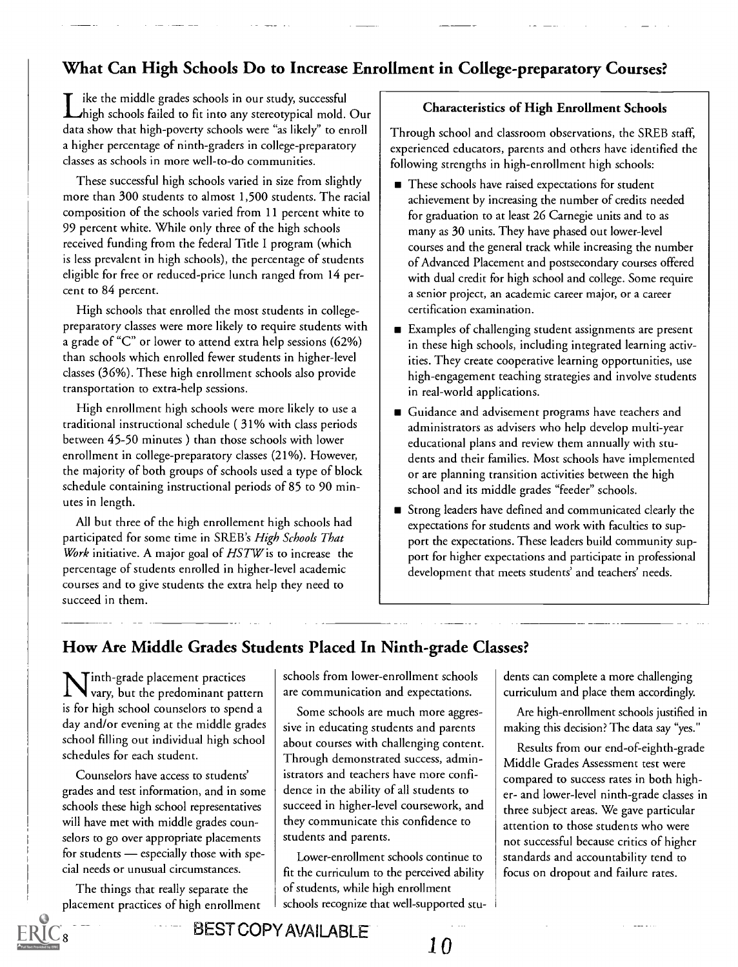# What Can High Schools Do to Increase Enrollment in College-preparatory Courses?

Like the middle grades schools in our study, successful<br>high schools failed to fit into any stereotypical mold. Our ike the middle grades schools in our study, successful data show that high-poverty schools were "as likely" to enroll a higher percentage of ninth-graders in college-preparatory classes as schools in more well-to-do communities.

These successful high schools varied in size from slightly more than 300 students to almost 1,500 students. The racial composition of the schools varied from 11 percent white to 99 percent white. While only three of the high schools received funding from the federal Title I program (which is less prevalent in high schools), the percentage of students eligible for free or reduced-price lunch ranged from 14 percent to 84 percent.

High schools that enrolled the most students in collegepreparatory classes were more likely to require students with a grade of "C" or lower to attend extra help sessions (62%) than schools which enrolled fewer students in higher-level classes (36%). These high enrollment schools also provide transportation to extra-help sessions.

High enrollment high schools were more likely to use a traditional instructional schedule ( 31% with class periods between 45-50 minutes ) than those schools with lower enrollment in college-preparatory classes (21%). However, the majority of both groups of schools used a type of block schedule containing instructional periods of 85 to 90 minutes in length.

All but three of the high enrollement high schools had participated for some time in SREB's High Schools That Work initiative. A major goal of  $HSTW$  is to increase the percentage of students enrolled in higher-level academic courses and to give students the extra help they need to succeed in them.

#### Characteristics of High Enrollment Schools

Through school and classroom observations, the SREB staff, experienced educators, parents and others have identified the following strengths in high-enrollment high schools:

- These schools have raised expectations for student achievement by increasing the number of credits needed for graduation to at least 26 Carnegie units and to as many as 30 units. They have phased out lower-level courses and the general track while increasing the number of Advanced Placement and postsecondary courses offered with dual credit for high school and college. Some require a senior project, an academic career major, or a career certification examination.
- Examples of challenging student assignments are present in these high schools, including integrated learning activities. They create cooperative learning opportunities, use high-engagement teaching strategies and involve students in real-world applications.
- Guidance and advisement programs have teachers and administrators as advisers who help develop multi-year educational plans and review them annually with students and their families. Most schools have implemented or are planning transition activities between the high school and its middle grades "feeder" schools.
- Strong leaders have defined and communicated clearly the expectations for students and work with faculties to support the expectations. These leaders build community support for higher expectations and participate in professional development that meets students' and teachers' needs.

# How Are Middle Grades Students Placed In Ninth-grade Classes?

 $\lceil$  inth-grade placement practices  $\qquad \rceil \; s$ vary, but the predominant pattern | are com is for high school counselors to spend a day and/or evening at the middle grades school filling out individual high school schedules for each student.

Counselors have access to students' grades and test information, and in some schools these high school representatives will have met with middle grades counselors to go over appropriate placements for students  $-$  especially those with special needs or unusual circumstances.

The things that really separate the placement practices of high enrollment

8

schools from lower-enrollment schools are communication and expectations.

Some schools are much more aggressive in educating students and parents about courses with challenging content. Through demonstrated success, administrators and teachers have more confidence in the ability of all students to succeed in higher-level coursework, and they communicate this confidence to students and parents.

Lower-enrollment schools continue to fit the curriculum to the perceived ability of students, while high enrollment schools recognize that well-supported students can complete a more challenging curriculum and place them accordingly.

Are high-enrollment schools justified in making this decision? The data say "yes."

Results from our end-of-eighth-grade Middle Grades Assessment test were compared to success rates in both higher- and lower-level ninth-grade classes in three subject areas. We gave particular attention to those students who were not successful because critics of higher standards and accountability tend to focus on dropout and failure rates.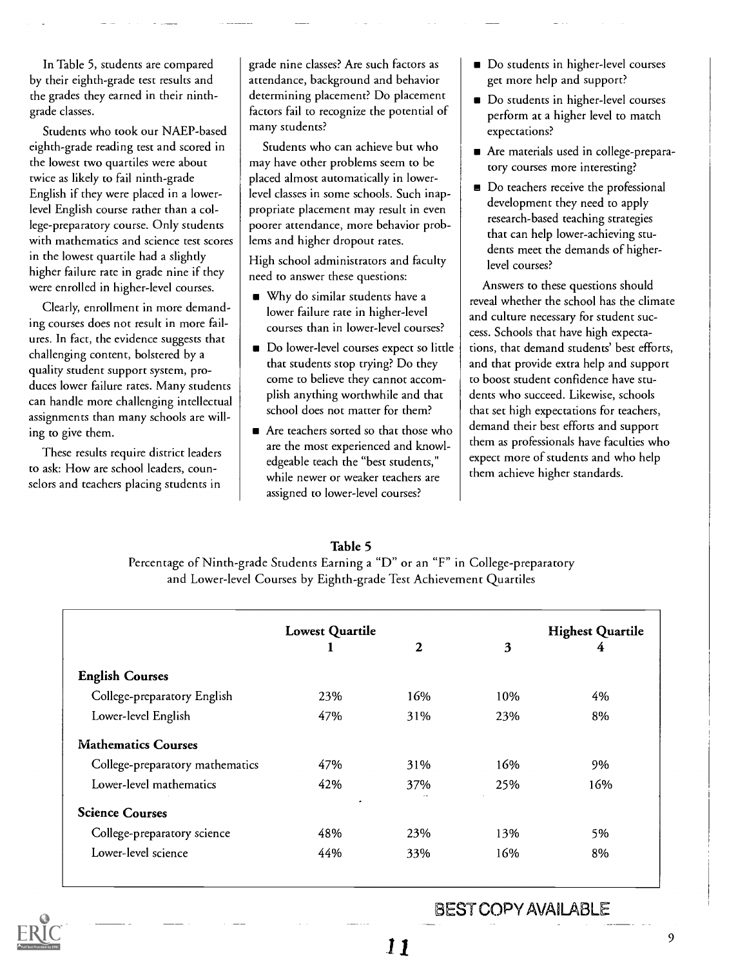In Table 5, students are compared by their eighth-grade test results and the grades they earned in their ninthgrade classes.

Students who took our NAEP-based eighth-grade reading test and scored in the lowest two quartiles were about twice as likely to fail ninth-grade English if they were placed in a lowerlevel English course rather than a college-preparatory course. Only students with mathematics and science test scores in the lowest quartile had a slightly higher failure rate in grade nine if they were enrolled in higher-level courses.

Clearly, enrollment in more demanding courses does not result in more failures. In fact, the evidence suggests that challenging content, bolstered by a quality student support system, produces lower failure rates. Many students can handle more challenging intellectual assignments than many schools are willing to give them.

These results require district leaders to ask: How are school leaders, counselors and teachers placing students in

grade nine classes? Are such factors as attendance, background and behavior determining placement? Do placement factors fail to recognize the potential of many students?

Students who can achieve but who may have other problems seem to be placed almost automatically in lowerlevel classes in some schools. Such inappropriate placement may result in even poorer attendance, more behavior problems and higher dropout rates.

High school administrators and faculty need to answer these questions:

- Why do similar students have a lower failure rate in higher-level courses than in lower-level courses?
- Do lower-level courses expect so little that students stop trying? Do they come to believe they cannot accomplish anything worthwhile and that school does not matter for them?
- Are teachers sorted so that those who are the most experienced and knowledgeable teach the "best students," while newer or weaker teachers are assigned to lower-level courses?
- Do students in higher-level courses get more help and support?
- Do students in higher-level courses perform at a higher level to match expectations?
- Are materials used in college-preparatory courses more interesting?
- Do teachers receive the professional development they need to apply research-based teaching strategies that can help lower-achieving students meet the demands of higherlevel courses?

Answers to these questions should reveal whether the school has the climate and culture necessary for student success. Schools that have high expectations, that demand students' best efforts, and that provide extra help and support to boost student confidence have students who succeed. Likewise, schools that set high expectations for teachers, demand their best efforts and support them as professionals have faculties who expect more of students and who help them achieve higher standards.

#### Table 5

Percentage of Ninth-grade Students Earning a "D" or an "F" in College-preparatory and Lower-level Courses by Eighth-grade Test Achievement Quartiles

|                                 |                | <b>Lowest Quartile</b> |     | <b>Highest Quartile</b> |  |
|---------------------------------|----------------|------------------------|-----|-------------------------|--|
|                                 |                | $\mathbf{2}$           | 3   | 4                       |  |
| <b>English Courses</b>          |                |                        |     |                         |  |
| College-preparatory English     | 23%            | 16%                    | 10% | 4%                      |  |
| Lower-level English             | 47%            | 31%                    | 23% | 8%                      |  |
| <b>Mathematics Courses</b>      |                |                        |     |                         |  |
| College-preparatory mathematics | 47%            | 31%                    | 16% | 9%                      |  |
| Lower-level mathematics         | 42%            | 37%                    | 25% | 16%                     |  |
| <b>Science Courses</b>          | $\overline{a}$ |                        |     |                         |  |
| College-preparatory science     | 48%            | 23%                    | 13% | 5%                      |  |
| Lower-level science             | 44%            | 33%                    | 16% | 8%                      |  |

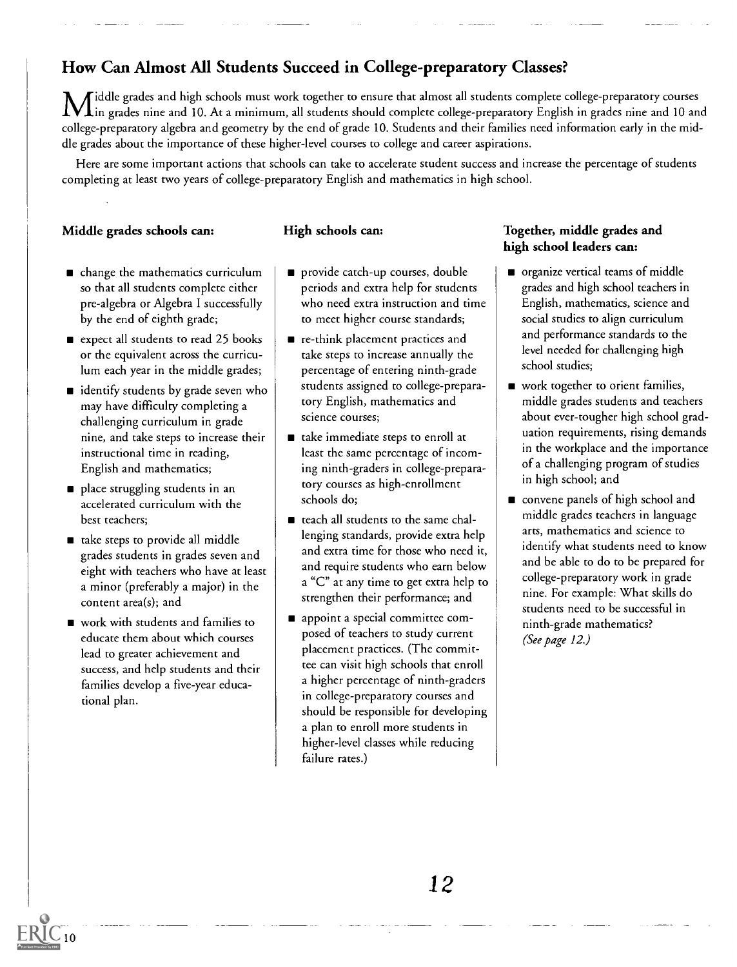# How Can Almost All Students Succeed in College-preparatory Classes?

Middle grades and high schools must work together to ensure that almost all students complete college-preparatory courses  $'\bf{l}$ in grades nine and  $\overline{10}$ . At a minimum, all students should complete college-preparatory English in grades nine and 10 and college-preparatory algebra and geometry by the end of grade 10. Students and their families need information early in the middle grades about the importance of these higher-level courses to college and career aspirations.

Here are some important actions that schools can take to accelerate student success and increase the percentage of students completing at least two years of college-preparatory English and mathematics in high school.

### Middle grades schools can:

#### High schools can:

- change the mathematics curriculum so that all students complete either pre-algebra or Algebra I successfully by the end of eighth grade;
- expect all students to read 25 books or the equivalent across the curriculum each year in the middle grades;
- $\blacksquare$  identify students by grade seven who may have difficulty completing a challenging curriculum in grade nine, and take steps to increase their instructional time in reading, English and mathematics;
- place struggling students in an accelerated curriculum with the best teachers;
- take steps to provide all middle grades students in grades seven and eight with teachers who have at least a minor (preferably a major) in the content area(s); and
- work with students and families to educate them about which courses lead to greater achievement and success, and help students and their families develop a five-year educational plan.
- provide catch-up courses, double periods and extra help for students who need extra instruction and time to meet higher course standards;
- re-think placement practices and take steps to increase annually the percentage of entering ninth-grade students assigned to college-preparatory English, mathematics and science courses;
- take immediate steps to enroll at least the same percentage of incoming ninth-graders in college-preparatory courses as high-enrollment schools do;
- teach all students to the same challenging standards, provide extra help and extra time for those who need it, and require students who earn below a "C" at any time to get extra help to strengthen their performance; and
- **a** appoint a special committee composed of teachers to study current placement practices. (The committee can visit high schools that enroll a higher percentage of ninth-graders in college-preparatory courses and should be responsible for developing a plan to enroll more students in higher-level classes while reducing failure rates.)

#### Together, middle grades and high school leaders can:

- organize vertical teams of middle grades and high school teachers in English, mathematics, science and social studies to align curriculum and performance standards to the level needed for challenging high school studies;
- work together to orient families, middle grades students and teachers about ever-tougher high school graduation requirements, rising demands in the workplace and the importance of a challenging program of studies in high school; and
- convene panels of high school and middle grades teachers in language arts, mathematics and science to identify what students need to know and be able to do to be prepared for college-preparatory work in grade nine. For example: What skills do students need to be successful in ninth-grade mathematics? (See page 12.)

-

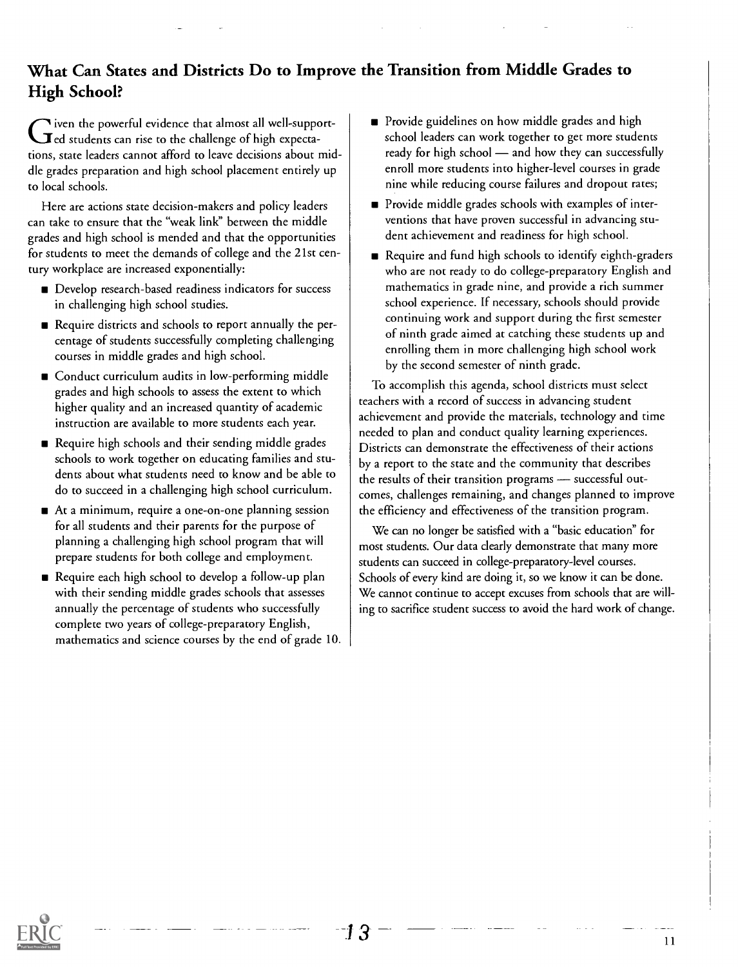# What Can States and Districts Do to Improve the Transition from Middle Grades to High School?

 $\blacktriangledown$  iven the powerful evidence that almost all well-support- $\mathbf I$ ed students can rise to the challenge of high expectations, state leaders cannot afford to leave decisions about middle grades preparation and high school placement entirely up to local schools.

Here are actions state decision-makers and policy leaders can take to ensure that the "weak link" between the middle grades and high school is mended and that the opportunities for students to meet the demands of college and the 21st century workplace are increased exponentially:

- Develop research-based readiness indicators for success in challenging high school studies.
- Require districts and schools to report annually the percentage of students successfully completing challenging courses in middle grades and high school.
- Conduct curriculum audits in low-performing middle grades and high schools to assess the extent to which higher quality and an increased quantity of academic instruction are available to more students each year.
- Require high schools and their sending middle grades schools to work together on educating families and students about what students need to know and be able to do to succeed in a challenging high school curriculum.
- At a minimum, require a one-on-one planning session for all students and their parents for the purpose of planning a challenging high school program that will prepare students for both college and employment.
- Require each high school to develop a follow-up plan with their sending middle grades schools that assesses annually the percentage of students who successfully complete two years of college-preparatory English, mathematics and science courses by the end of grade 10.
- Provide guidelines on how middle grades and high school leaders can work together to get more students ready for high school - and how they can successfully enroll more students into higher-level courses in grade nine while reducing course failures and dropout rates;
- **Provide middle grades schools with examples of inter**ventions that have proven successful in advancing student achievement and readiness for high school.
- Require and fund high schools to identify eighth-graders who are not ready to do college-preparatory English and mathematics in grade nine, and provide a rich summer school experience. If necessary, schools should provide continuing work and support during the first semester of ninth grade aimed at catching these students up and enrolling them in more challenging high school work by the second semester of ninth grade.

To accomplish this agenda, school districts must select teachers with a record of success in advancing student achievement and provide the materials, technology and time needed to plan and conduct quality learning experiences. Districts can demonstrate the effectiveness of their actions by a report to the state and the community that describes the results of their transition programs - successful outcomes, challenges remaining, and changes planned to improve the efficiency and effectiveness of the transition program.

We can no longer be satisfied with a "basic education" for most students. Our data clearly demonstrate that many more students can succeed in college-preparatory-level courses. Schools of every kind are doing it, so we know it can be done. We cannot continue to accept excuses from schools that are willing to sacrifice student success to avoid the hard work of change.

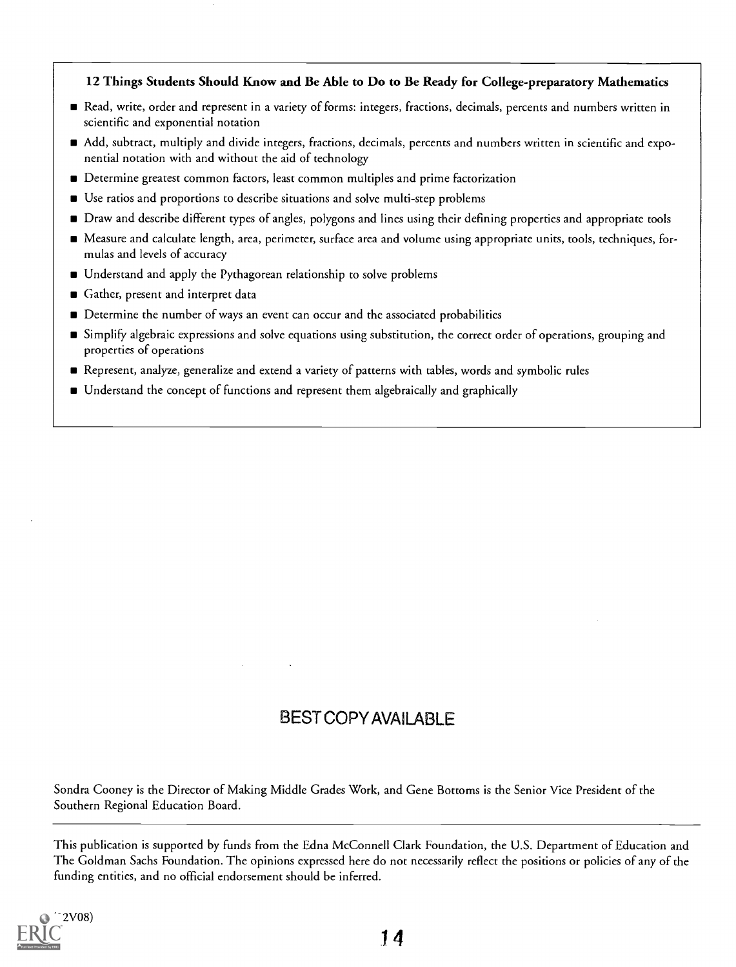### 12 Things Students Should Know and Be Able to Do to Be Ready for College-preparatory Mathematics

- Read, write, order and represent in a variety of forms: integers, fractions, decimals, percents and numbers written in scientific and exponential notation
- Add, subtract, multiply and divide integers, fractions, decimals, percents and numbers written in scientific and exponential notation with and without the aid of technology
- Determine greatest common factors, least common multiples and prime factorization
- Use ratios and proportions to describe situations and solve multi-step problems
- Draw and describe different types of angles, polygons and lines using their defining properties and appropriate tools
- Measure and calculate length, area, perimeter, surface area and volume using appropriate units, tools, techniques, formulas and levels of accuracy
- Understand and apply the Pythagorean relationship to solve problems
- Gather, present and interpret data
- Determine the number of ways an event can occur and the associated probabilities
- Simplify algebraic expressions and solve equations using substitution, the correct order of operations, grouping and properties of operations
- Represent, analyze, generalize and extend a variety of patterns with tables, words and symbolic rules
- Understand the concept of functions and represent them algebraically and graphically

# BEST COPY AVAILABLE

Sondra Cooney is the Director of Making Middle Grades Work, and Gene Bottoms is the Senior Vice President of the Southern Regional Education Board.

This publication is supported by funds from the Edna McConnell Clark Foundation, the U.S. Department of Education and The Goldman Sachs Foundation. The opinions expressed here do not necessarily reflect the positions or policies of any of the funding entities, and no official endorsement should be inferred.